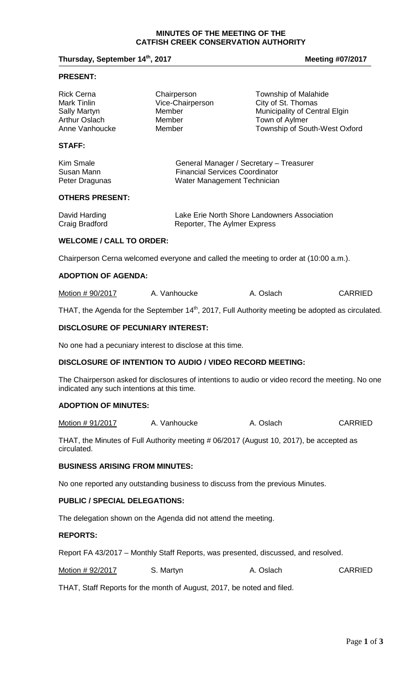#### **MINUTES OF THE MEETING OF THE CATFISH CREEK CONSERVATION AUTHORITY**

## **Thursday, September 14<sup>th</sup>, 2017 Meeting #07/2017 Meeting #07/2017**

#### **PRESENT:**

| <b>Rick Cerna</b> | Chairperson      | Township of Malahide          |
|-------------------|------------------|-------------------------------|
| Mark Tinlin       | Vice-Chairperson | City of St. Thomas            |
| Sally Martyn      | Member           | Municipality of Central Elgin |
| Arthur Oslach     | Member           | Town of Aylmer                |
| Anne Vanhoucke    | Member           | Township of South-West Oxford |
|                   |                  |                               |

# **STAFF:**

| Kim Smale      | General Manager / Secretary - Treasurer |
|----------------|-----------------------------------------|
| Susan Mann     | <b>Financial Services Coordinator</b>   |
| Peter Dragunas | Water Management Technician             |

### **OTHERS PRESENT:**

| David Harding  | Lake Erie North Shore Landowners Association |
|----------------|----------------------------------------------|
| Craig Bradford | Reporter, The Aylmer Express                 |

#### **WELCOME / CALL TO ORDER:**

Chairperson Cerna welcomed everyone and called the meeting to order at (10:00 a.m.).

# **ADOPTION OF AGENDA:**

| Motion # 90/2017<br>A. Vanhoucke | A. Oslach | <b>CARRIED</b> |
|----------------------------------|-----------|----------------|
|----------------------------------|-----------|----------------|

THAT, the Agenda for the September 14<sup>th</sup>, 2017, Full Authority meeting be adopted as circulated.

### **DISCLOSURE OF PECUNIARY INTEREST:**

No one had a pecuniary interest to disclose at this time.

## **DISCLOSURE OF INTENTION TO AUDIO / VIDEO RECORD MEETING:**

The Chairperson asked for disclosures of intentions to audio or video record the meeting. No one indicated any such intentions at this time.

# **ADOPTION OF MINUTES:**

Motion # 91/2017 A. Vanhoucke A. Oslach CARRIED

THAT, the Minutes of Full Authority meeting # 06/2017 (August 10, 2017), be accepted as circulated.

## **BUSINESS ARISING FROM MINUTES:**

No one reported any outstanding business to discuss from the previous Minutes.

### **PUBLIC / SPECIAL DELEGATIONS:**

The delegation shown on the Agenda did not attend the meeting.

# **REPORTS:**

Report FA 43/2017 – Monthly Staff Reports, was presented, discussed, and resolved.

|  | Motion #92/2017 | S. Martyn | A. Oslach | <b>CARRIED</b> |
|--|-----------------|-----------|-----------|----------------|
|--|-----------------|-----------|-----------|----------------|

THAT, Staff Reports for the month of August, 2017, be noted and filed.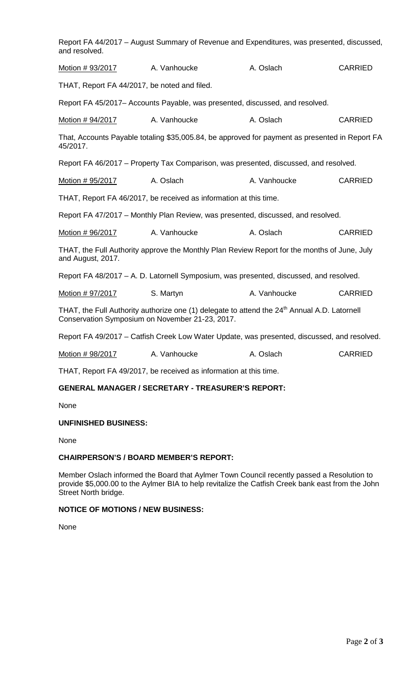| and resolved.                                   | Report FA 44/2017 - August Summary of Revenue and Expenditures, was presented, discussed,                |              |                |
|-------------------------------------------------|----------------------------------------------------------------------------------------------------------|--------------|----------------|
| Motion # 93/2017                                | A. Vanhoucke                                                                                             | A. Oslach    | <b>CARRIED</b> |
| THAT, Report FA 44/2017, be noted and filed.    |                                                                                                          |              |                |
|                                                 | Report FA 45/2017– Accounts Payable, was presented, discussed, and resolved.                             |              |                |
| Motion # 94/2017                                | A. Vanhoucke                                                                                             | A. Oslach    | <b>CARRIED</b> |
| 45/2017.                                        | That, Accounts Payable totaling \$35,005.84, be approved for payment as presented in Report FA           |              |                |
|                                                 | Report FA 46/2017 – Property Tax Comparison, was presented, discussed, and resolved.                     |              |                |
| Motion # 95/2017                                | A. Oslach                                                                                                | A. Vanhoucke | <b>CARRIED</b> |
|                                                 | THAT, Report FA 46/2017, be received as information at this time.                                        |              |                |
|                                                 | Report FA 47/2017 - Monthly Plan Review, was presented, discussed, and resolved.                         |              |                |
| Motion # 96/2017                                | A. Vanhoucke                                                                                             | A. Oslach    | <b>CARRIED</b> |
| and August, 2017.                               | THAT, the Full Authority approve the Monthly Plan Review Report for the months of June, July             |              |                |
|                                                 | Report FA 48/2017 - A. D. Latornell Symposium, was presented, discussed, and resolved.                   |              |                |
| Motion #97/2017                                 | S. Martyn                                                                                                | A. Vanhoucke | <b>CARRIED</b> |
| Conservation Symposium on November 21-23, 2017. | THAT, the Full Authority authorize one (1) delegate to attend the 24 <sup>th</sup> Annual A.D. Latornell |              |                |
|                                                 | Report FA 49/2017 – Catfish Creek Low Water Update, was presented, discussed, and resolved.              |              |                |
| Motion #98/2017                                 | A. Vanhoucke                                                                                             | A. Oslach    | <b>CARRIED</b> |
|                                                 | THAT, Report FA 49/2017, be received as information at this time.                                        |              |                |

# **GENERAL MANAGER / SECRETARY - TREASURER'S REPORT:**

None

# **UNFINISHED BUSINESS:**

None

# **CHAIRPERSON'S / BOARD MEMBER'S REPORT:**

Member Oslach informed the Board that Aylmer Town Council recently passed a Resolution to provide \$5,000.00 to the Aylmer BIA to help revitalize the Catfish Creek bank east from the John Street North bridge.

# **NOTICE OF MOTIONS / NEW BUSINESS:**

None